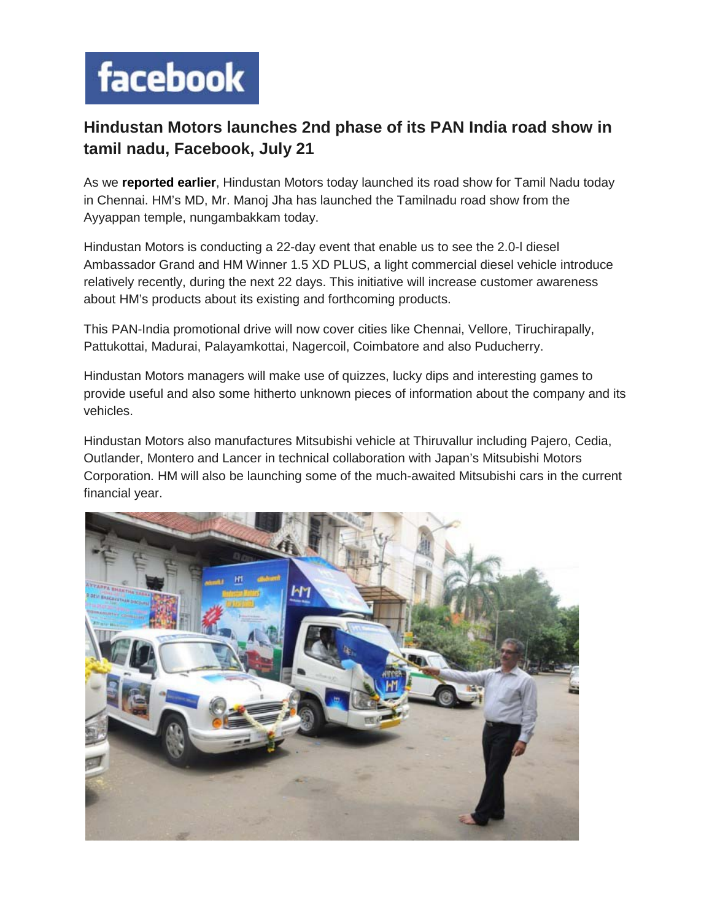## facebook

## **Hindustan Motors launches 2nd phase of its PAN India road show in tamil nadu, Facebook, July 21**

As we **[reported earlier](http://www.burnyourfuel.com/news/car-news/hm-launches-road-show-to-showcase-the-upcoming-models)**, Hindustan Motors today launched its road show for Tamil Nadu today in Chennai. HM's MD, Mr. Manoj Jha has launched the Tamilnadu road show from the Ayyappan temple, nungambakkam today.

Hindustan Motors is conducting a 22-day event that enable us to see the 2.0-l diesel Ambassador Grand and HM Winner 1.5 XD PLUS, a light commercial diesel vehicle introduce relatively recently, during the next 22 days. This initiative will increase customer awareness about HM's products about its existing and forthcoming products.

This PAN-India promotional drive will now cover cities like Chennai, Vellore, Tiruchirapally, Pattukottai, Madurai, Palayamkottai, Nagercoil, Coimbatore and also Puducherry.

Hindustan Motors managers will make use of quizzes, lucky dips and interesting games to provide useful and also some hitherto unknown pieces of information about the company and its vehicles.

Hindustan Motors also manufactures Mitsubishi vehicle at Thiruvallur including Pajero, Cedia, Outlander, Montero and Lancer in technical collaboration with Japan's Mitsubishi Motors Corporation. HM will also be launching some of the much-awaited Mitsubishi cars in the current financial year.